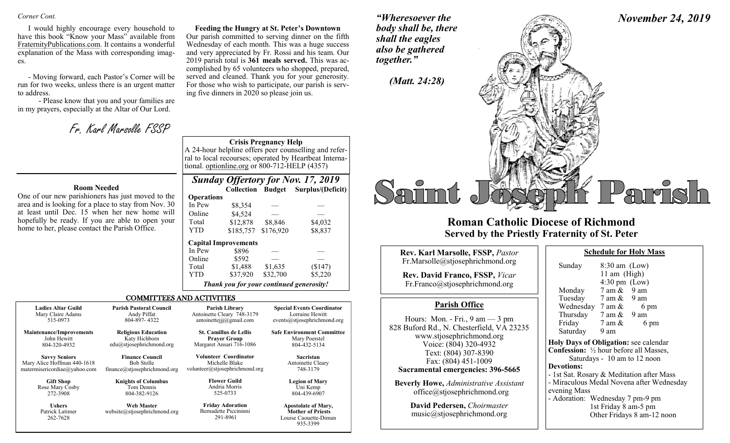#### *Corner Cont.*

I would highly encourage every household to have this book "Know your Mass" available from FraternityPublications.com. It contains a wonderful explanation of the Mass with corresponding images.

- Moving forward, each Pastor's Corner will be run for two weeks, unless there is an urgent matter to address.

- Please know that you and your families are in my prayers, especially at the Altar of Our Lord.

Fr. Karl Marsolle FSSP

2019 parish total is **361 meals served.** This was accomplished by 65 volunteers who shopped, prepared, served and cleaned. Thank you for your generosity. For those who wish to participate, our parish is serving five dinners in 2020 so please join us.

#### **Crisis Pregnancy Help**

A 24-hour helpline offers peer counselling and referral to local recourses; operated by Heartbeat International. optionline.org or 800-712-HELP (4357)

**Feeding the Hungry at St. Peter's Downtown** Our parish committed to serving dinner on the fifth Wednesday of each month. This was a huge success and very appreciated by Fr. Rossi and his team. Our

#### **Room Needed**

One of our new parishioners has just moved to the area and is looking for a place to stay from Nov. 30 at least until Dec. 15 when her new home will hopefully be ready. If you are able to open your home to her, please contact the Parish Office.

262-7628

| <b>Sunday Offertory for Nov. 17, 2019</b> |  |  |  |  |
|-------------------------------------------|--|--|--|--|
|                                           |  |  |  |  |

|                   | <b>Collection</b>                        | <b>Budget</b> | Surplus/(Deficit) |  |
|-------------------|------------------------------------------|---------------|-------------------|--|
| <b>Operations</b> |                                          |               |                   |  |
| In Pew            | \$8,354                                  |               |                   |  |
| Online            | \$4,524                                  |               |                   |  |
| Total             | \$12,878                                 | \$8,846       | \$4,032           |  |
| <b>YTD</b>        | \$185,757                                | \$176,920     | \$8,837           |  |
|                   | <b>Capital Improvements</b>              |               |                   |  |
| In Pew            | \$896                                    |               |                   |  |
| Online            | \$592                                    |               |                   |  |
| Total             | \$1,488                                  | \$1,635       | (\$147)           |  |
| <b>YTD</b>        | \$37,920                                 | \$32,700      | \$5,220           |  |
|                   | Thank you for your continued generosity! |               |                   |  |

#### COMMITTEES AND ACTIVITIES

**Ladies Altar Guild** Mary Claire Adams 515-0973 **Maintenance/Improvements** John Hewitt 804-320-4932 **Savvy Seniors** Mary Alice Hoffman 440-1618 matermisericordiae@yahoo.com **Gift Shop**  Rose Mary Cosby 272-3908 **Ushers** Patrick Latimer **Parish Pastoral Council** Andy Piffat 804-897- 4322 **Religious Education** Katy Hichborn edu@stjosephrichmond.org **Finance Council** Bob Stolle finance@stjosephrichmond.org **Knights of Columbus** Tom Dennis 804-382-9126 **Web Master** website@stjosephrichmond.org **Parish Library** Antoinette Cleary 748-3179 antoinettejjj@gmail.com **St. Camillus de Lellis Prayer Group** Margaret Ansari 716-1086 **Volunteer Coordinator** Michelle Blake volunteer@stjosephrichmond.org **Flower Guild** Andria Morris 525-0733 **Friday Adoration** Bernadette Piccininni **Special Events Coordinator** Lorraine Hewitt events@stjosephrichmond.org **Safe Environment Committee** Mary Poerstel 804-432-5134 **Sacristan** Antoinette Cleary 748-3179 **Legion of Mary** Uni Kemp 804-439-6907 **Apostolate of Mary, Mother of Priests**

291-8961

Louise Caouette-Diman 935-3399

*"Wheresoever the body shall be, there shall the eagles also be gathered together."*





## **Roman Catholic Diocese of Richmond Served by the Priestly Fraternity of St. Peter**

| <b>Rev. Karl Marsolle, FSSP, Pastor</b><br>Fr.Marsolle@stjosephrichmond.org<br><b>Rev. David Franco, FSSP, Vicar</b><br>Fr.Franco@stjosephrichmond.org                                                                                                                                                                  | Sunda<br>Mond                                                                                                                           |
|-------------------------------------------------------------------------------------------------------------------------------------------------------------------------------------------------------------------------------------------------------------------------------------------------------------------------|-----------------------------------------------------------------------------------------------------------------------------------------|
| <b>Parish Office</b>                                                                                                                                                                                                                                                                                                    | Tuesd<br>Wedn                                                                                                                           |
| Hours: Mon. - Fri., $9 \text{ am} - 3 \text{ pm}$<br>828 Buford Rd., N. Chesterfield, VA 23235<br>www.stjosephrichmond.org<br>Voice: (804) 320-4932<br>Text: (804) 307-8390<br>Fax: (804) 451-1009<br>Sacramental emergencies: 396-5665<br><b>Beverly Howe, Administrative Assistant</b><br>office@stjosephrichmond.org | Thurs<br>Friday<br>Saturo<br><b>Holy Day</b><br>Confessio<br>Sa<br><b>Devotion</b><br>- 1st Sat.<br>- Miracul<br>evening N<br>- Adorati |
| David Pedersen, Choirmaster<br>music@stjosephrichmond.org                                                                                                                                                                                                                                                               |                                                                                                                                         |

| Sunday                                         | $8:30$ am $(Low)$                                                       |                                           |
|------------------------------------------------|-------------------------------------------------------------------------|-------------------------------------------|
|                                                | 11 am (High)                                                            |                                           |
|                                                | $4:30 \text{ pm}$ (Low)                                                 |                                           |
| Monday                                         | $7$ am $\&$ 9 am                                                        |                                           |
| Tuesday                                        | 7 am & 9 am                                                             |                                           |
| Wednesday $7 \text{ am } \&$                   |                                                                         | 6 pm                                      |
| Thursday $7 \text{ am } \& 9 \text{ am}$       |                                                                         |                                           |
| Friday                                         | 7 am &                                                                  | 6 pm                                      |
| Saturday                                       | 9 am                                                                    |                                           |
| Holy Days of Obligation: see calendar          |                                                                         |                                           |
| <b>Confession:</b> 1/2 hour before all Masses, |                                                                         |                                           |
|                                                |                                                                         | Saturdays - 10 am to 12 noon              |
| <b>Devotions:</b>                              |                                                                         |                                           |
| - 1st Sat. Rosary & Meditation after Mass      |                                                                         |                                           |
|                                                |                                                                         | - Miraculous Medal Novena after Wednesday |
| evening Mass                                   |                                                                         |                                           |
| - Adoration: Wednesday 7 pm-9 pm               |                                                                         |                                           |
|                                                | $1 - 1$ $\Gamma_{11}$ $1 - 0$ $\Gamma_{22}$ $\Gamma_{33}$ $\Gamma_{44}$ |                                           |

**Schedule for Holy Mass** 

1st Friday 8 am-5 pm Other Fridays 8 am-12 noon